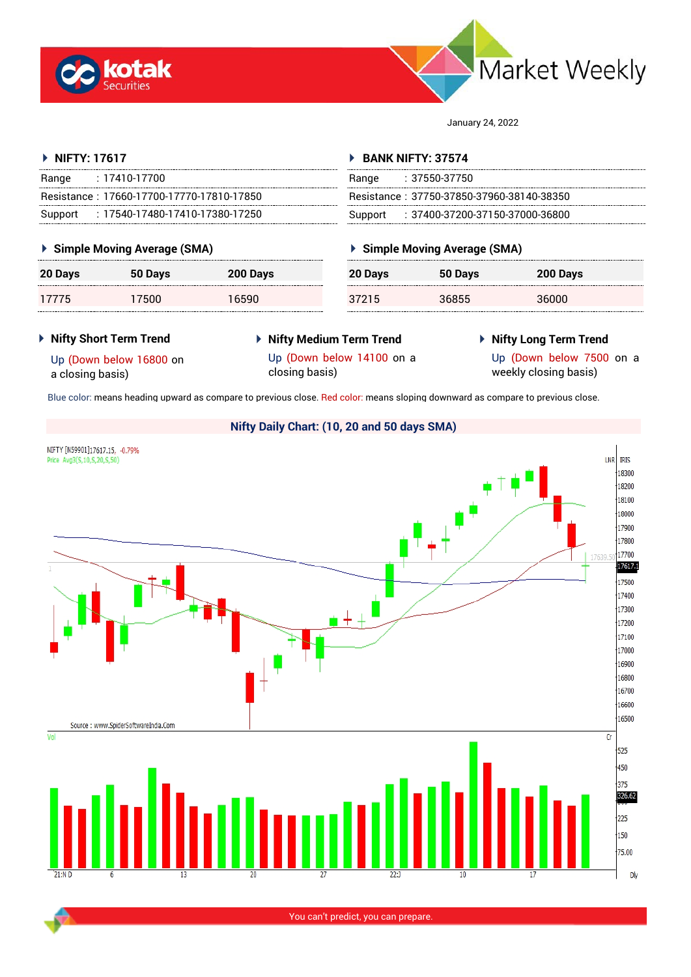



January 24, 2022

# **NIFTY: 17617**

| : 17410-17700<br>Range                     | Range   | : 37550-37750            |
|--------------------------------------------|---------|--------------------------|
| Resistance: 17660-17700-17770-17810-17850  |         | Resistance: 37750-37850- |
| : 17540-17480-17410-17380-17250<br>Support | Support | : 37400-37200-           |

# **Simple Moving Average (SMA)**

| 20 Days | 50 Days | 200 Days | 111111<br>c<br> |
|---------|---------|----------|-----------------|
| 1775    | 7500    | 16590    | c               |

# **BANK NIFTY: 37574**

| Range   | $: 37550 - 37750$                         |
|---------|-------------------------------------------|
|         | Resistance: 37750-37850-37960-38140-38350 |
| Support | $\pm 37400$ -37200-37150-37000-36800      |

# **Simple Moving Average (SMA)**

| 20 Days | 50 Days | 200 Days |
|---------|---------|----------|
| 37215   | 36855   | 36000    |

### **Nifty Short Term Trend**

 **Nifty Medium Term Trend** closing basis)

# **Nifty Long Term Trend**

Up (Down below 16800 on a closing basis)

- Up (Down below 14100 on a
- Up (Down below 7500 on a

weekly closing basis)

Blue color: means heading upward as compare to previous close. Red color: means sloping downward as compare to previous close.



You can't predict, you can prepare.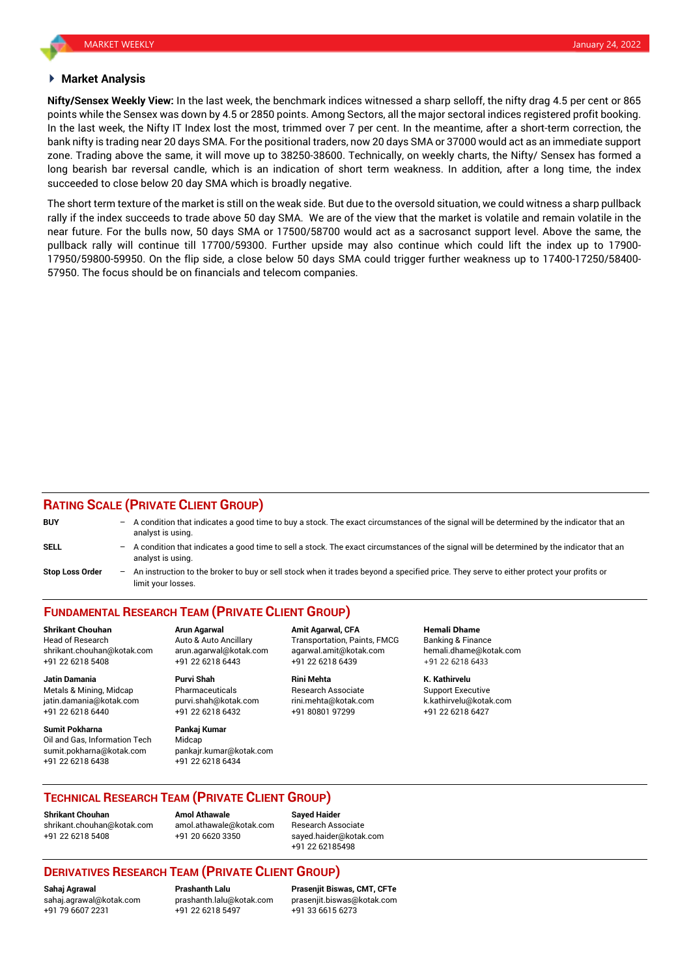#### **Market Analysis**

**Nifty/Sensex Weekly View:** In the last week, the benchmark indices witnessed a sharp selloff, the nifty drag 4.5 per cent or 865 points while the Sensex was down by 4.5 or 2850 points. Among Sectors, all the major sectoral indices registered profit booking. In the last week, the Nifty IT Index lost the most, trimmed over 7 per cent. In the meantime, after a short-term correction, the bank nifty is trading near 20 days SMA. For the positional traders, now 20 days SMA or 37000 would act as an immediate support zone. Trading above the same, it will move up to 38250-38600. Technically, on weekly charts, the Nifty/ Sensex has formed a long bearish bar reversal candle, which is an indication of short term weakness. In addition, after a long time, the index succeeded to close below 20 day SMA which is broadly negative.

The short term texture of the market is still on the weak side. But due to the oversold situation, we could witness a sharp pullback rally if the index succeeds to trade above 50 day SMA. We are of the view that the market is volatile and remain volatile in the near future. For the bulls now, 50 days SMA or 17500/58700 would act as a sacrosanct support level. Above the same, the pullback rally will continue till 17700/59300. Further upside may also continue which could lift the index up to 17900- 17950/59800-59950. On the flip side, a close below 50 days SMA could trigger further weakness up to 17400-17250/58400- 57950. The focus should be on financials and telecom companies.

#### **RATING SCALE (PRIVATE CLIENT GROUP)**

| <b>BUY</b>             | - A condition that indicates a good time to buy a stock. The exact circumstances of the signal will be determined by the indicator that an<br>analyst is using.    |
|------------------------|--------------------------------------------------------------------------------------------------------------------------------------------------------------------|
| <b>SELL</b>            | $-$ A condition that indicates a good time to sell a stock. The exact circumstances of the signal will be determined by the indicator that an<br>analyst is using. |
| <b>Stop Loss Order</b> | - An instruction to the broker to buy or sell stock when it trades beyond a specified price. They serve to either protect your profits or<br>limit vour losses     |

# **FUNDAMENTAL RESEARCH TEAM (PRIVATE CLIENT GROUP)**

Head of Research Auto & Auto Ancillary Transportation, Paints, FMCG Banking & Finance shrikant.chouhan@kotak.com arun.agarwal@kotak.com [agarwal.amit@kotak.com](mailto:agarwal.amit@kotak.com) hemali.dhame@kotak.com +91 22 6218 5408 +91 22 6218 6443 +91 22 6218 6439 +91 22 6218 6433

Metals & Mining, Midcap **Pharmaceuticals** Research Associate Support Executive Research Associate jatin.damania@kotak.com [purvi.shah@kotak.com](mailto:purvi.shah@kotak.com) rini.mehta@kotak.com [k.kathirvelu@kotak.com](mailto:k.kathirvelu@kotak.com) +91 22 6218 6440 +91 22 6218 6432 +91 80801 97299 +91 22 6218 6427

**Sumit Pokharna** Pankaj Kumar Oil and Gas, Information Tech Midcap sumit.pokharna@kotak.com pankajr.kumar@kotak.com +91 22 6218 6438 +91 22 6218 6434

**Jatin Damania Purvi Shah Rini Mehta K. Kathirvelu**

**Shrikant Chouhan Arun Agarwal Amit Agarwal, CFA Hemali Dhame**

#### **TECHNICAL RESEARCH TEAM (PRIVATE CLIENT GROUP)**

**Shrikant Chouhan Amol Athawale Sayed Haider** [shrikant.chouhan@kotak.com](mailto:shrikant.chouhan@kotak.com) [amol.athawale@kotak.com](mailto:amol.athawale@kotak.com) Research Associate +91 22 6218 5408 +91 20 6620 3350 [sayed.haider@kotak.com](mailto:sayed.haider@kotak.com)

+91 22 62185498

#### **DERIVATIVES RESEARCH TEAM (PRIVATE CLIENT GROUP)**

+91 79 6607 2231 +91 22 6218 5497 +91 33 6615 6273

**Sahaj Agrawal Prashanth Lalu Prasenjit Biswas, CMT, CFTe** [sahaj.agrawal@kotak.com](mailto:sahaj.agrawal@kotak.com) [prashanth.lalu@kotak.com](mailto:prashanth.lalu@kotak.com) [prasenjit.biswas@kotak.com](mailto:prasenjit.biswas@kotak.com)